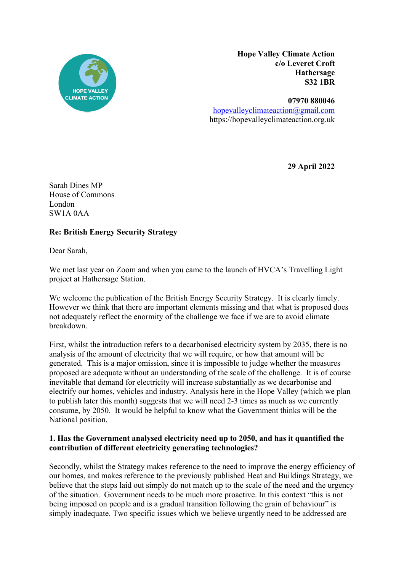

**Hope Valley Climate Action c/o Leveret Croft Hathersage S32 1BR**

**07970 880046** hopevalleyclimateaction@gmail.com https://hopevalleyclimateaction.org.uk

**29 April 2022**

Sarah Dines MP House of Commons London SW1A 0AA

# **Re: British Energy Security Strategy**

Dear Sarah,

We met last year on Zoom and when you came to the launch of HVCA's Travelling Light project at Hathersage Station.

We welcome the publication of the British Energy Security Strategy. It is clearly timely. However we think that there are important elements missing and that what is proposed does not adequately reflect the enormity of the challenge we face if we are to avoid climate breakdown.

First, whilst the introduction refers to a decarbonised electricity system by 2035, there is no analysis of the amount of electricity that we will require, or how that amount will be generated. This is a major omission, since it is impossible to judge whether the measures proposed are adequate without an understanding of the scale of the challenge. It is of course inevitable that demand for electricity will increase substantially as we decarbonise and electrify our homes, vehicles and industry. Analysis here in the Hope Valley (which we plan to publish later this month) suggests that we will need 2-3 times as much as we currently consume, by 2050. It would be helpful to know what the Government thinks will be the National position.

# **1. Has the Government analysed electricity need up to 2050, and has it quantified the contribution of different electricity generating technologies?**

Secondly, whilst the Strategy makes reference to the need to improve the energy efficiency of our homes, and makes reference to the previously published Heat and Buildings Strategy, we believe that the steps laid out simply do not match up to the scale of the need and the urgency of the situation. Government needs to be much more proactive. In this context "this is not being imposed on people and is a gradual transition following the grain of behaviour" is simply inadequate. Two specific issues which we believe urgently need to be addressed are